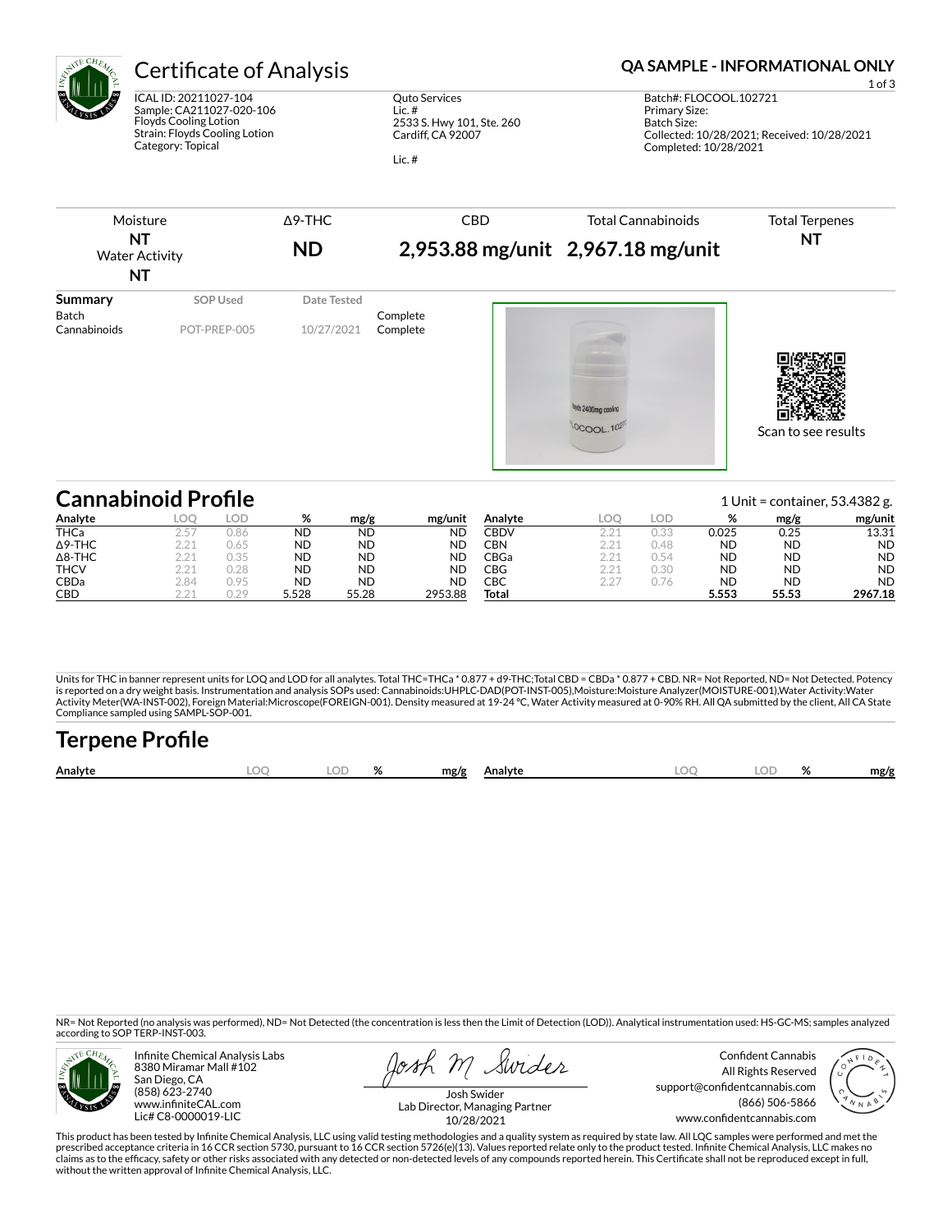

# Certificate of Analysis **Certificate of Analysis QA SAMPLE - INFORMATIONAL ONLY**

ICAL ID: 20211027-104 Sample: CA211027-020-106 Floyds Cooling Lotion Strain: Floyds Cooling Lotion Category: Topical

Quto Services Lic. # 2533 S. Hwy 101, Ste. 260 Cardiff, CA 92007

Lic. #

| Moisture<br>NT<br><b>Water Activity</b><br><b>NT</b> |                                 | $\Delta$ 9-THC<br><b>ND</b> | <b>CBD</b>           | <b>Total Cannabinoids</b><br>2,953.88 mg/unit 2,967.18 mg/unit | <b>Total Terpenes</b><br><b>NT</b> |
|------------------------------------------------------|---------------------------------|-----------------------------|----------------------|----------------------------------------------------------------|------------------------------------|
| <b>Summary</b><br><b>Batch</b><br>Cannabinoids       | <b>SOP Used</b><br>POT-PREP-005 | Date Tested<br>10/27/2021   | Complete<br>Complete | loyds 2400mg cooling<br><b>OCOOL.102</b>                       | Scan to see results                |

| <b>Cannabinoid Profile</b> |      |      |           |           |           |             |     |      |           | 1 Unit = container, $53.4382$ g. |           |
|----------------------------|------|------|-----------|-----------|-----------|-------------|-----|------|-----------|----------------------------------|-----------|
| Analyte                    | LOO  | LOD  | %         | mg/g      | mg/unit   | Analyte     | LOC | LOD  | %         | mg/g                             | mg/unit   |
| <b>THCa</b>                | 2.57 | 0.86 | <b>ND</b> | <b>ND</b> | <b>ND</b> | CBDV        |     | 0.33 | 0.025     | 0.25                             | 13.31     |
| $\Delta$ 9-THC             | 2.21 | 0.65 | <b>ND</b> | <b>ND</b> | <b>ND</b> | CBN         |     | 0.48 | ND        | <b>ND</b>                        | <b>ND</b> |
| $\Delta$ 8-THC             | 2.21 | 0.35 | <b>ND</b> | <b>ND</b> | <b>ND</b> | <b>CBGa</b> |     | 0.54 | ND        | <b>ND</b>                        | <b>ND</b> |
| <b>THCV</b>                | 221  | 0.28 | <b>ND</b> | <b>ND</b> | <b>ND</b> | CBG         | 221 | 0.30 | <b>ND</b> | <b>ND</b>                        | <b>ND</b> |
| CBDa                       | 2.84 | 0.95 | <b>ND</b> | <b>ND</b> | <b>ND</b> | СВС         |     | 0.76 | ND        | <b>ND</b>                        | <b>ND</b> |
| <b>CBD</b>                 | 0A   | 0.29 | 5.528     | 55.28     | 2953.88   | Total       |     |      | 5.553     | 55.53                            | 2967.18   |

Units for THC in banner represent units for LOQ and LOD for all analytes. Total THC=THCa \* 0.877 + d9-THC;Total CBD = CBDa \* 0.877 + CBD. NR= Not Reported, ND= Not Detected. Potency<br>is reported on a dry weight basis. Instr Activity Meter(WA-INST-002), Foreign Material:Microscope(FOREIGN-001). Density measured at 19-24 °C, Water Activity measured at 0-90% RH. All QA submitted by the client, All CA State Compliance sampled using SAMPL-SOP-001.

| <b>Terpene Profile</b> |    |      |         |     |  |      |
|------------------------|----|------|---------|-----|--|------|
| Analyte                | OD | mg/g | Analyte | loc |  | mg/g |

NR= Not Reported (no analysis was performed), ND= Not Detected (the concentration is less then the Limit of Detection (LOD)). Analytical instrumentation used: HS-GC-MS; samples analyzed according to SOP TERP-INST-003.



Infinite Chemical Analysis Labs 8380 Miramar Mall #102 San Diego, CA (858) 623-2740 www.infiniteCAL.com Lic# C8-0000019-LIC

Josh M Swider

Confident Cannabis All Rights Reserved support@confidentcannabis.com (866) 506-5866 www.confidentcannabis.com



Josh Swider Lab Director, Managing Partner 10/28/2021

This product has been tested by Infinite Chemical Analysis, LLC using valid testing methodologies and a quality system as required by state law. All LQC samples were performed and met the<br>prescribed acceptance criteria in without the written approval of Infinite Chemical Analysis, LLC.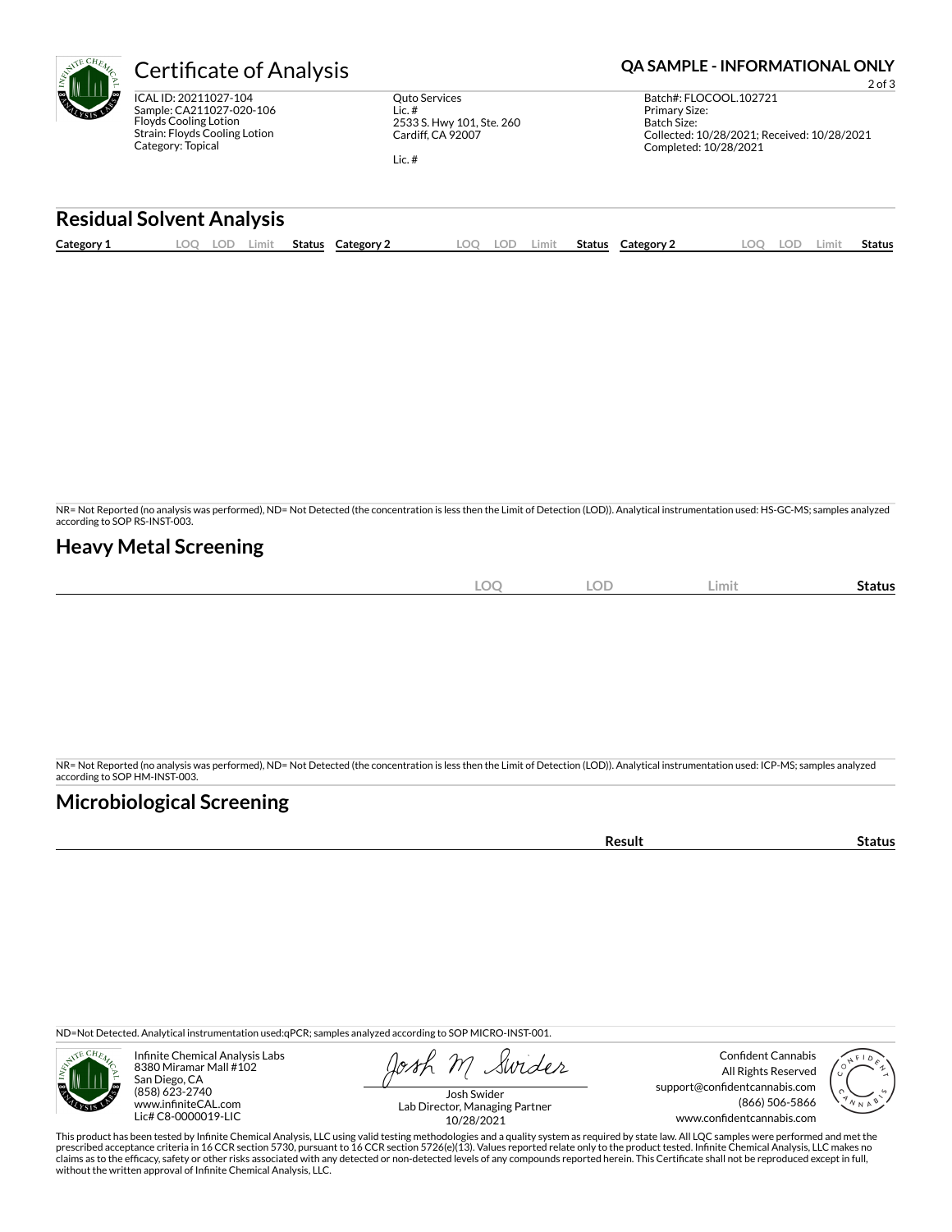ICAL ID: 20211027-104 Sample: CA211027-020-106 Floyds Cooling Lotion Strain: Floyds Cooling Lotion Category: Topical

Quto Services Lic. # 2533 S. Hwy 101, Ste. 260 Cardiff, CA 92007

Lic. #

### Certificate of Analysis **Certificate of Analysis QA SAMPLE - INFORMATIONAL ONLY**

2 of 3 Batch#: FLOCOOL.102721 Primary Size: Batch Size: Collected: 10/28/2021; Received: 10/28/2021 Completed: 10/28/2021

#### **Residual Solvent Analysis**

|  | Category 1 | ΩC<br>. <i>. .</i><br>-- | Limit<br><b>Status</b> | Category | LOC | -91 | Limit. | Status | Category 2 |  | LOD. | _imi† | <b>Status</b> |
|--|------------|--------------------------|------------------------|----------|-----|-----|--------|--------|------------|--|------|-------|---------------|
|--|------------|--------------------------|------------------------|----------|-----|-----|--------|--------|------------|--|------|-------|---------------|

NR= Not Reported (no analysis was performed), ND= Not Detected (the concentration is less then the Limit of Detection (LOD)). Analytical instrumentation used: HS-GC-MS; samples analyzed according to SOP RS-INST-003.

### **Heavy Metal Screening**

| $\Omega$<br>∽<br>$\tilde{\phantom{a}}$ | <b>LOD</b> | Limit | -<br>Status |
|----------------------------------------|------------|-------|-------------|
|                                        |            |       |             |

NR= Not Reported (no analysis was performed), ND= Not Detected (the concentration is less then the Limit of Detection (LOD)). Analytical instrumentation used: ICP-MS; samples analyzed according to SOP HM-INST-003.

### **Microbiological Screening**

**Result Status** 

ND=Not Detected. Analytical instrumentation used:qPCR; samples analyzed according to SOP MICRO-INST-001.



Infinite Chemical Analysis Labs 8380 Miramar Mall #102 San Diego, CA (858) 623-2740 www.infiniteCAL.com Lic# C8-0000019-LIC

Swider

Confident Cannabis All Rights Reserved support@confidentcannabis.com (866) 506-5866 www.confidentcannabis.com



Josh Swider Lab Director, Managing Partner 10/28/2021

This product has been tested by Infinite Chemical Analysis, LLC using valid testing methodologies and a quality system as required by state law. All LQC samples were performed and met the prescribed acceptance criteria in 16 CCR section 5730, pursuant to 16 CCR section 5726(e)(13). Values reported relate only to the product tested. Infinite Chemical Analysis, LLC makes no<br>claims as to the efficacy, safety o without the written approval of Infinite Chemical Analysis, LLC.